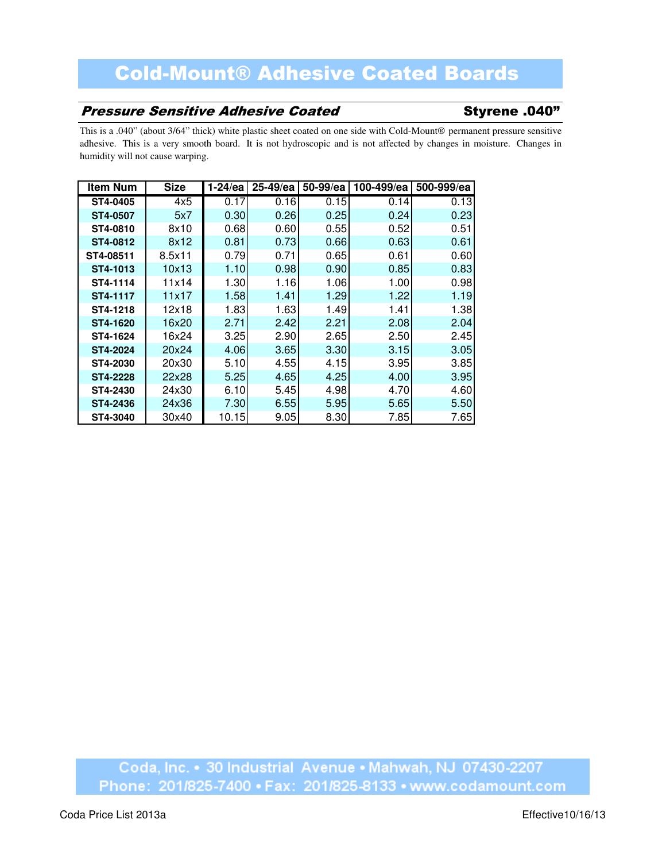## Cold-Mount® Adhesive Coated Boards

### Pressure Sensitive Adhesive Coated

### Styrene .040"

This is a .040" (about 3/64" thick) white plastic sheet coated on one side with Cold-Mount® permanent pressure sensitive adhesive. This is a very smooth board. It is not hydroscopic and is not affected by changes in moisture. Changes in humidity will not cause warping.

| <b>Item Num</b> | <b>Size</b> | $1-24/ea$ | 25-49/ea | 50-99/ea | 100-499/ea | 500-999/ea |
|-----------------|-------------|-----------|----------|----------|------------|------------|
| ST4-0405        | 4x5         | 0.17      | 0.16     | 0.15     | 0.14       | 0.13       |
| ST4-0507        | 5x7         | 0.30      | 0.26     | 0.25     | 0.24       | 0.23       |
| ST4-0810        | 8x10        | 0.68      | 0.60     | 0.55     | 0.52       | 0.51       |
| ST4-0812        | 8x12        | 0.81      | 0.73     | 0.66     | 0.63       | 0.61       |
| ST4-08511       | 8.5x11      | 0.79      | 0.71     | 0.65     | 0.61       | 0.60       |
| ST4-1013        | 10x13       | 1.10      | 0.98     | 0.90     | 0.85       | 0.83       |
| ST4-1114        | 11x14       | 1.30      | 1.16     | 1.06     | 1.00       | 0.98       |
| ST4-1117        | 11x17       | 1.58      | 1.41     | 1.29     | 1.22       | 1.19       |
| ST4-1218        | 12x18       | 1.83      | 1.63     | 1.49     | 1.41       | 1.38       |
| ST4-1620        | 16x20       | 2.71      | 2.42     | 2.21     | 2.08       | 2.04       |
| ST4-1624        | 16x24       | 3.25      | 2.90     | 2.65     | 2.50       | 2.45       |
| ST4-2024        | 20x24       | 4.06      | 3.65     | 3.30     | 3.15       | 3.05       |
| ST4-2030        | 20x30       | 5.10      | 4.55     | 4.15     | 3.95       | 3.85       |
| ST4-2228        | 22x28       | 5.25      | 4.65     | 4.25     | 4.00       | 3.95       |
| ST4-2430        | 24x30       | 6.10      | 5.45     | 4.98     | 4.70       | 4.60       |
| ST4-2436        | 24x36       | 7.30      | 6.55     | 5.95     | 5.65       | 5.50       |
| ST4-3040        | 30x40       | 10.15     | 9.05     | 8.301    | 7.85       | 7.65       |

Coda, Inc. • 30 Industrial Avenue • Mahwah, NJ 07430-2207 Phone: 201/825-7400 • Fax: 201/825-8133 • www.codamount.com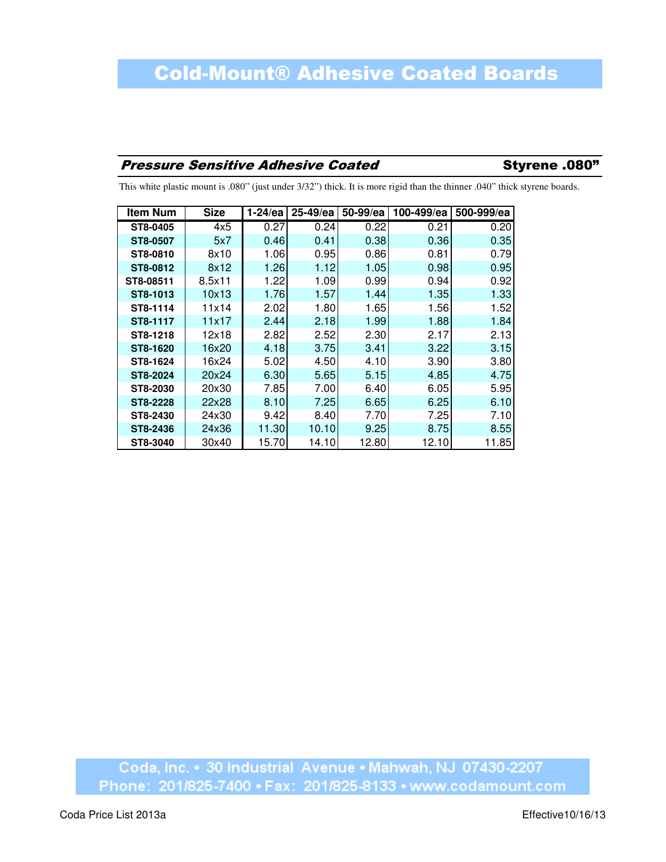## Cold-Mount® Adhesive Coated Boards

### Pressure Sensitive Adhesive Coated Styrene .080"

This white plastic mount is .080" (just under 3/32") thick. It is more rigid than the thinner .040" thick styrene boards.

| <b>Item Num</b> | <b>Size</b> | 1-24/ea | 25-49/ea | 50-99/ea | 100-499/ea | 500-999/ea |
|-----------------|-------------|---------|----------|----------|------------|------------|
| ST8-0405        | 4x5         | 0.27    | 0.24     | 0.22     | 0.21       | 0.20       |
| ST8-0507        | 5x7         | 0.46    | 0.41     | 0.38     | 0.36       | 0.35       |
| ST8-0810        | 8x10        | 1.06    | 0.95     | 0.86     | 0.81       | 0.79       |
| ST8-0812        | 8x12        | 1.26    | 1.12     | 1.05     | 0.98       | 0.95       |
| ST8-08511       | 8.5x11      | 1.22    | 1.09     | 0.99     | 0.94       | 0.92       |
| ST8-1013        | 10x13       | 1.76    | 1.57     | 1.44     | 1.35       | 1.33       |
| ST8-1114        | 11x14       | 2.02    | 1.80     | 1.65     | 1.56       | 1.52       |
| ST8-1117        | 11x17       | 2.44    | 2.18     | 1.99     | 1.88       | 1.84       |
| ST8-1218        | 12x18       | 2.82    | 2.52     | 2.30     | 2.17       | 2.13       |
| ST8-1620        | 16x20       | 4.18    | 3.75     | 3.41     | 3.22       | 3.15       |
| ST8-1624        | 16x24       | 5.02    | 4.50     | 4.10     | 3.90       | 3.80       |
| ST8-2024        | 20x24       | 6.30    | 5.65     | 5.15     | 4.85       | 4.75       |
| ST8-2030        | 20x30       | 7.85    | 7.00     | 6.40     | 6.05       | 5.95       |
| ST8-2228        | 22x28       | 8.10    | 7.25     | 6.65     | 6.25       | 6.10       |
| ST8-2430        | 24x30       | 9.42    | 8.40     | 7.70     | 7.25       | 7.10       |
| ST8-2436        | 24x36       | 11.30   | 10.10    | 9.25     | 8.75       | 8.55       |
| ST8-3040        | 30x40       | 15.70   | 14.10    | 12.80    | 12.10      | 11.85      |

Coda, Inc. • 30 Industrial Avenue • Mahwah, NJ 07430-2207 Phone: 201/825-7400 • Fax: 201/825-8133 • www.codamount.com